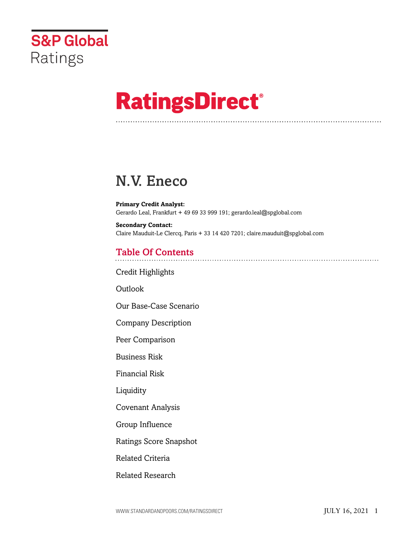

# **RatingsDirect®**

## N.V. Eneco

**Primary Credit Analyst:** Gerardo Leal, Frankfurt + 49 69 33 999 191; gerardo.leal@spglobal.com

**Secondary Contact:** Claire Mauduit-Le Clercq, Paris + 33 14 420 7201; claire.mauduit@spglobal.com

## Table Of Contents

[Credit Highlights](#page-1-0)

Outlook

[Our Base-Case Scenario](#page-3-0)

[Company Description](#page-4-0)

[Peer Comparison](#page-4-1)

[Business Risk](#page-5-0)

[Financial Risk](#page-9-0)

[Liquidity](#page-11-0)

[Covenant Analysis](#page-12-0)

[Group Influence](#page-12-1)

[Ratings Score Snapshot](#page-12-2)

[Related Criteria](#page-13-0)

[Related Research](#page-14-0)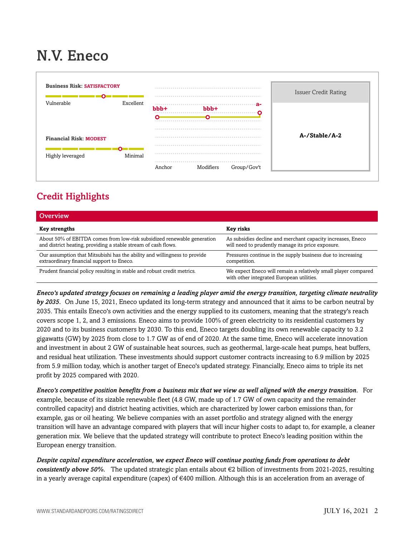## N.V. Eneco



## <span id="page-1-0"></span>Credit Highlights

| <b>Overview</b>                                                                                                                           |                                                                                                                  |
|-------------------------------------------------------------------------------------------------------------------------------------------|------------------------------------------------------------------------------------------------------------------|
| <b>Key strengths</b>                                                                                                                      | <b>Key risks</b>                                                                                                 |
| About 50% of EBITDA comes from low-risk subsidized renewable generation<br>and district heating, providing a stable stream of cash flows. | As subsidies decline and merchant capacity increases, Eneco<br>will need to prudently manage its price exposure. |
| Our assumption that Mitsubishi has the ability and willingness to provide<br>extraordinary financial support to Eneco.                    | Pressures continue in the supply business due to increasing<br>competition.                                      |
| Prudent financial policy resulting in stable and robust credit metrics.                                                                   | We expect Eneco will remain a relatively small player compared<br>with other integrated European utilities.      |

*Eneco's updated strategy focuses on remaining a leading player amid the energy transition, targeting climate neutrality by 2035.* On June 15, 2021, Eneco updated its long-term strategy and announced that it aims to be carbon neutral by 2035. This entails Eneco's own activities and the energy supplied to its customers, meaning that the strategy's reach covers scope 1, 2, and 3 emissions. Eneco aims to provide 100% of green electricity to its residential customers by 2020 and to its business customers by 2030. To this end, Eneco targets doubling its own renewable capacity to 3.2 gigawatts (GW) by 2025 from close to 1.7 GW as of end of 2020. At the same time, Eneco will accelerate innovation and investment in about 2 GW of sustainable heat sources, such as geothermal, large-scale heat pumps, heat buffers, and residual heat utilization. These investments should support customer contracts increasing to 6.9 million by 2025 from 5.9 million today, which is another target of Eneco's updated strategy. Financially, Eneco aims to triple its net profit by 2025 compared with 2020.

*Eneco's competitive position benefits from a business mix that we view as well aligned with the energy transition.* For example, because of its sizable renewable fleet (4.8 GW, made up of 1.7 GW of own capacity and the remainder controlled capacity) and district heating activities, which are characterized by lower carbon emissions than, for example, gas or oil heating. We believe companies with an asset portfolio and strategy aligned with the energy transition will have an advantage compared with players that will incur higher costs to adapt to, for example, a cleaner generation mix. We believe that the updated strategy will contribute to protect Eneco's leading position within the European energy transition.

*Despite capital expenditure acceleration, we expect Eneco will continue posting funds from operations to debt consistently above 50%.* The updated strategic plan entails about €2 billion of investments from 2021-2025, resulting in a yearly average capital expenditure (capex) of €400 million. Although this is an acceleration from an average of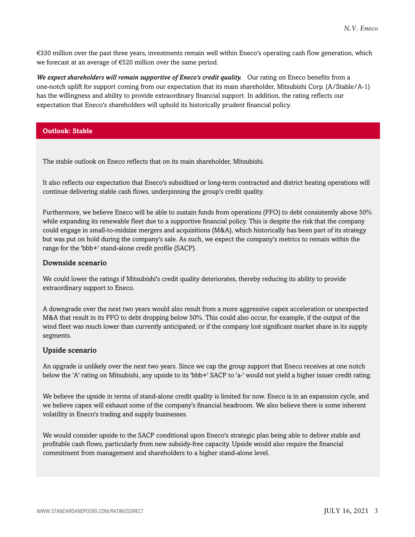€330 million over the past three years, investments remain well within Eneco's operating cash flow generation, which we forecast at an average of €520 million over the same period.

*We expect shareholders will remain supportive of Eneco's credit quality.* Our rating on Eneco benefits from a one-notch uplift for support coming from our expectation that its main shareholder, Mitsubishi Corp. (A/Stable/A-1) has the willingness and ability to provide extraordinary financial support. In addition, the rating reflects our expectation that Eneco's shareholders will uphold its historically prudent financial policy.

#### **Outlook: Stable**

The stable outlook on Eneco reflects that on its main shareholder, Mitsubishi.

It also reflects our expectation that Eneco's subsidized or long-term contracted and district heating operations will continue delivering stable cash flows, underpinning the group's credit quality.

Furthermore, we believe Eneco will be able to sustain funds from operations (FFO) to debt consistently above 50% while expanding its renewable fleet due to a supportive financial policy. This is despite the risk that the company could engage in small-to-midsize mergers and acquisitions (M&A), which historically has been part of its strategy but was put on hold during the company's sale. As such, we expect the company's metrics to remain within the range for the 'bbb+' stand-alone credit profile (SACP).

#### Downside scenario

We could lower the ratings if Mitsubishi's credit quality deteriorates, thereby reducing its ability to provide extraordinary support to Eneco.

A downgrade over the next two years would also result from a more aggressive capex acceleration or unexpected M&A that result in its FFO to debt dropping below 50%. This could also occur, for example, if the output of the wind fleet was much lower than currently anticipated; or if the company lost significant market share in its supply segments.

#### Upside scenario

An upgrade is unlikely over the next two years. Since we cap the group support that Eneco receives at one notch below the 'A' rating on Mitsubishi, any upside to its 'bbb+' SACP to 'a-' would not yield a higher issuer credit rating.

We believe the upside in terms of stand-alone credit quality is limited for now. Eneco is in an expansion cycle, and we believe capex will exhaust some of the company's financial headroom. We also believe there is some inherent volatility in Eneco's trading and supply businesses.

We would consider upside to the SACP conditional upon Eneco's strategic plan being able to deliver stable and profitable cash flows, particularly from new subsidy-free capacity. Upside would also require the financial commitment from management and shareholders to a higher stand-alone level.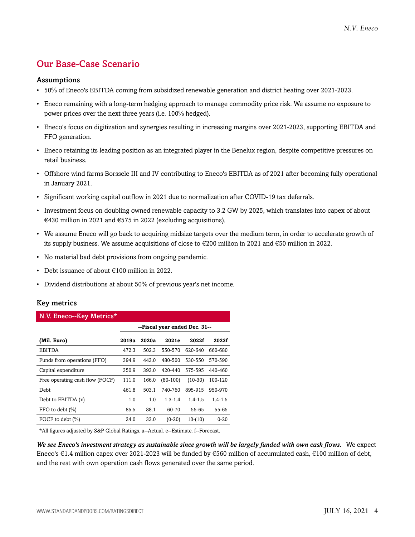## <span id="page-3-0"></span>Our Base-Case Scenario

#### Assumptions

- 50% of Eneco's EBITDA coming from subsidized renewable generation and district heating over 2021-2023.
- Eneco remaining with a long-term hedging approach to manage commodity price risk. We assume no exposure to power prices over the next three years (i.e. 100% hedged).
- Eneco's focus on digitization and synergies resulting in increasing margins over 2021-2023, supporting EBITDA and FFO generation.
- Eneco retaining its leading position as an integrated player in the Benelux region, despite competitive pressures on retail business.
- Offshore wind farms Borssele III and IV contributing to Eneco's EBITDA as of 2021 after becoming fully operational in January 2021.
- Significant working capital outflow in 2021 due to normalization after COVID-19 tax deferrals.
- Investment focus on doubling owned renewable capacity to 3.2 GW by 2025, which translates into capex of about €430 million in 2021 and €575 in 2022 (excluding acquisitions).
- We assume Eneco will go back to acquiring midsize targets over the medium term, in order to accelerate growth of its supply business. We assume acquisitions of close to €200 million in 2021 and €50 million in 2022.
- No material bad debt provisions from ongoing pandemic.
- Debt issuance of about €100 million in 2022.
- Dividend distributions at about 50% of previous year's net income.

#### Key metrics

| N.V. Eneco--Key Metrics*        |                               |       |             |             |             |  |  |  |
|---------------------------------|-------------------------------|-------|-------------|-------------|-------------|--|--|--|
|                                 | --Fiscal year ended Dec. 31-- |       |             |             |             |  |  |  |
| (Mil. Euro)                     | 2019a                         | 2020a | 2021e       | 2022f       | 2023f       |  |  |  |
| <b>EBITDA</b>                   | 472.3                         | 502.3 | 550-570     | 620-640     | 660-680     |  |  |  |
| Funds from operations (FFO)     | 394.9                         | 443.0 | 480-500     | 530-550     | 570-590     |  |  |  |
| Capital expenditure             | 350.9                         | 393.0 | 420-440     | 575-595     | 440-460     |  |  |  |
| Free operating cash flow (FOCF) | 111.0                         | 166.0 | $(80-100)$  | $(10-30)$   | 100-120     |  |  |  |
| Debt                            | 461.8                         | 503.1 | 740-760     | 895-915     | 950-970     |  |  |  |
| Debt to EBITDA (x)              | 1.0                           | 1.0   | $1.3 - 1.4$ | $1.4 - 1.5$ | $1.4 - 1.5$ |  |  |  |
| FFO to debt $(\% )$             | 85.5                          | 88.1  | 60-70       | 55-65       | 55-65       |  |  |  |
| FOCF to debt (%)                | 24.0                          | 33.0  | $(0-20)$    | $10-(10)$   | $0 - 20$    |  |  |  |

\*All figures adjusted by S&P Global Ratings. a--Actual. e--Estimate. f--Forecast.

*We see Eneco's investment strategy as sustainable since growth will be largely funded with own cash flows.* We expect Eneco's €1.4 million capex over 2021-2023 will be funded by €560 million of accumulated cash, €100 million of debt, and the rest with own operation cash flows generated over the same period.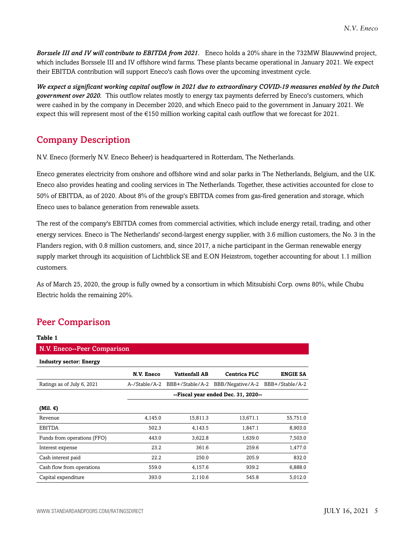*Borssele III and IV will contribute to EBITDA from 2021.* Eneco holds a 20% share in the 732MW Blauwwind project, which includes Borssele III and IV offshore wind farms. These plants became operational in January 2021. We expect their EBITDA contribution will support Eneco's cash flows over the upcoming investment cycle.

*We expect a significant working capital outflow in 2021 due to extraordinary COVID-19 measures enabled by the Dutch government over 2020.* This outflow relates mostly to energy tax payments deferred by Eneco's customers, which were cashed in by the company in December 2020, and which Eneco paid to the government in January 2021. We expect this will represent most of the  $\epsilon$ 150 million working capital cash outflow that we forecast for 2021.

## <span id="page-4-0"></span>Company Description

N.V. Eneco (formerly N.V. Eneco Beheer) is headquartered in Rotterdam, The Netherlands.

Eneco generates electricity from onshore and offshore wind and solar parks in The Netherlands, Belgium, and the U.K. Eneco also provides heating and cooling services in The Netherlands. Together, these activities accounted for close to 50% of EBITDA, as of 2020. About 8% of the group's EBITDA comes from gas-fired generation and storage, which Eneco uses to balance generation from renewable assets.

The rest of the company's EBITDA comes from commercial activities, which include energy retail, trading, and other energy services. Eneco is The Netherlands' second-largest energy supplier, with 3.6 million customers, the No. 3 in the Flanders region, with 0.8 million customers, and, since 2017, a niche participant in the German renewable energy supply market through its acquisition of Lichtblick SE and E.ON Heizstrom, together accounting for about 1.1 million customers.

As of March 25, 2020, the group is fully owned by a consortium in which Mitsubishi Corp. owns 80%, while Chubu Electric holds the remaining 20%.

## <span id="page-4-1"></span>Peer Comparison

| Table 1                        |                                     |                      |                     |                 |  |  |  |
|--------------------------------|-------------------------------------|----------------------|---------------------|-----------------|--|--|--|
| N.V. Eneco--Peer Comparison    |                                     |                      |                     |                 |  |  |  |
| <b>Industry sector: Energy</b> |                                     |                      |                     |                 |  |  |  |
|                                | N.V. Eneco                          | <b>Vattenfall AB</b> | <b>Centrica PLC</b> | <b>ENGIE SA</b> |  |  |  |
| Ratings as of July 6, 2021     | A-/Stable/A-2                       | BBB+/Stable/A-2      | BBB/Negative/A-2    | BBB+/Stable/A-2 |  |  |  |
|                                | --Fiscal year ended Dec. 31, 2020-- |                      |                     |                 |  |  |  |
| (Mil. $\epsilon$ )             |                                     |                      |                     |                 |  |  |  |
| Revenue                        | 4,145.0                             | 15,811.3             | 13,671.1            | 55,751.0        |  |  |  |
| <b>EBITDA</b>                  | 502.3                               | 4,143.5              | 1,847.1             | 8,903.0         |  |  |  |
| Funds from operations (FFO)    | 443.0                               | 3,622.8              | 1,639.0             | 7,503.0         |  |  |  |
| Interest expense               | 23.2                                | 361.6                | 259.6               | 1,477.0         |  |  |  |
| Cash interest paid             | 22.2                                | 250.0                | 205.9               | 832.0           |  |  |  |
| Cash flow from operations      | 559.0                               | 4,157.6              | 939.2               | 6,888.0         |  |  |  |
| Capital expenditure            | 393.0                               | 2,110.6              | 545.8               | 5,012.0         |  |  |  |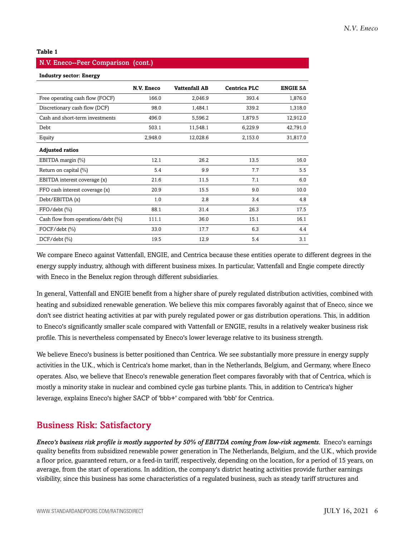#### **Table 1**

## N.V. Eneco--Peer Comparison (cont.)

**Industry sector: Energy**

|                                    | N.V. Eneco | <b>Vattenfall AB</b> | <b>Centrica PLC</b> | <b>ENGIE SA</b> |
|------------------------------------|------------|----------------------|---------------------|-----------------|
| Free operating cash flow (FOCF)    | 166.0      | 2,046.9              | 393.4               | 1,876.0         |
| Discretionary cash flow (DCF)      | 98.0       | 1,484.1              | 339.2               | 1,318.0         |
| Cash and short-term investments    | 496.0      | 5,596.2              | 1,879.5             | 12,912.0        |
| Debt                               | 503.1      | 11,548.1             | 6,229.9             | 42,791.0        |
| Equity                             | 2,948.0    | 12,028.6             | 2,153.0             | 31,817.0        |
| <b>Adjusted ratios</b>             |            |                      |                     |                 |
| EBITDA margin (%)                  | 12.1       | 26.2                 | 13.5                | 16.0            |
| Return on capital (%)              | 5.4        | 9.9                  | 7.7                 | 5.5             |
| EBITDA interest coverage (x)       | 21.6       | 11.5                 | 7.1                 | 6.0             |
| FFO cash interest coverage (x)     | 20.9       | 15.5                 | 9.0                 | 10.0            |
| Debt/EBITDA (x)                    | 1.0        | 2.8                  | 3.4                 | 4.8             |
| $FFO/debt$ $(\%)$                  | 88.1       | 31.4                 | 26.3                | 17.5            |
| Cash flow from operations/debt (%) | 111.1      | 36.0                 | 15.1                | 16.1            |
| $FOCF/debt$ $(\% )$                | 33.0       | 17.7                 | 6.3                 | 4.4             |
| $DCF/debt$ $(\%)$                  | 19.5       | 12.9                 | 5.4                 | 3.1             |

We compare Eneco against Vattenfall, ENGIE, and Centrica because these entities operate to different degrees in the energy supply industry, although with different business mixes. In particular, Vattenfall and Engie compete directly with Eneco in the Benelux region through different subsidiaries.

In general, Vattenfall and ENGIE benefit from a higher share of purely regulated distribution activities, combined with heating and subsidized renewable generation. We believe this mix compares favorably against that of Eneco, since we don't see district heating activities at par with purely regulated power or gas distribution operations. This, in addition to Eneco's significantly smaller scale compared with Vattenfall or ENGIE, results in a relatively weaker business risk profile. This is nevertheless compensated by Eneco's lower leverage relative to its business strength.

We believe Eneco's business is better positioned than Centrica. We see substantially more pressure in energy supply activities in the U.K., which is Centrica's home market, than in the Netherlands, Belgium, and Germany, where Eneco operates. Also, we believe that Eneco's renewable generation fleet compares favorably with that of Centrica, which is mostly a minority stake in nuclear and combined cycle gas turbine plants. This, in addition to Centrica's higher leverage, explains Eneco's higher SACP of 'bbb+' compared with 'bbb' for Centrica.

## <span id="page-5-0"></span>Business Risk: Satisfactory

*Eneco's business risk profile is mostly supported by 50% of EBITDA coming from low-risk segments.* Eneco's earnings quality benefits from subsidized renewable power generation in The Netherlands, Belgium, and the U.K., which provide a floor price, guaranteed return, or a feed-in tariff, respectively, depending on the location, for a period of 15 years, on average, from the start of operations. In addition, the company's district heating activities provide further earnings visibility, since this business has some characteristics of a regulated business, such as steady tariff structures and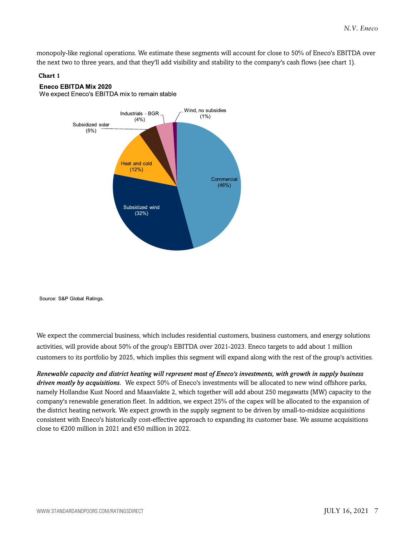monopoly-like regional operations. We estimate these segments will account for close to 50% of Eneco's EBITDA over the next two to three years, and that they'll add visibility and stability to the company's cash flows (see chart 1).

### **Chart 1**

### **Eneco EBITDA Mix 2020**

We expect Eneco's EBITDA mix to remain stable



Source: S&P Global Ratings.

We expect the commercial business, which includes residential customers, business customers, and energy solutions activities, will provide about 50% of the group's EBITDA over 2021-2023. Eneco targets to add about 1 million customers to its portfolio by 2025, which implies this segment will expand along with the rest of the group's activities.

*Renewable capacity and district heating will represent most of Eneco's investments, with growth in supply business driven mostly by acquisitions.* We expect 50% of Eneco's investments will be allocated to new wind offshore parks, namely Hollandse Kust Noord and Maasvlakte 2, which together will add about 250 megawatts (MW) capacity to the company's renewable generation fleet. In addition, we expect 25% of the capex will be allocated to the expansion of the district heating network. We expect growth in the supply segment to be driven by small-to-midsize acquisitions consistent with Eneco's historically cost-effective approach to expanding its customer base. We assume acquisitions close to  $\epsilon$ 200 million in 2021 and  $\epsilon$ 50 million in 2022.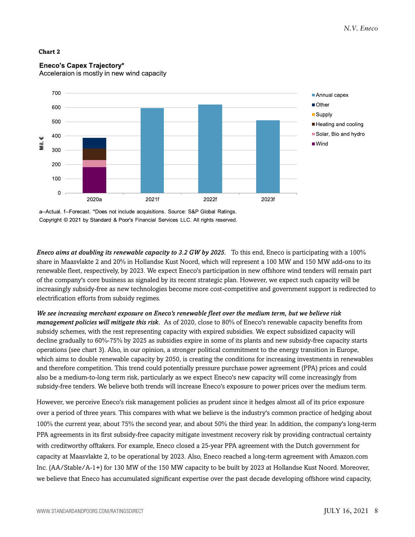#### **Chart 2**



## **Eneco's Capex Trajectory\***

Acceleraion is mostly in new wind capacity

a--Actual. f--Forecast. \*Does not include acquisitions. Source: S&P Global Ratings. Copyright © 2021 by Standard & Poor's Financial Services LLC. All rights reserved.

*Eneco aims at doubling its renewable capacity to 3.2 GW by 2025.* To this end, Eneco is participating with a 100% share in Maasvlakte 2 and 20% in Hollandse Kust Noord, which will represent a 100 MW and 150 MW add-ons to its renewable fleet, respectively, by 2023. We expect Eneco's participation in new offshore wind tenders will remain part of the company's core business as signaled by its recent strategic plan. However, we expect such capacity will be increasingly subsidy-free as new technologies become more cost-competitive and government support is redirected to electrification efforts from subsidy regimes.

*We see increasing merchant exposure on Eneco's renewable fleet over the medium term, but we believe risk management policies will mitigate this risk.* As of 2020, close to 80% of Eneco's renewable capacity benefits from subsidy schemes, with the rest representing capacity with expired subsidies. We expect subsidized capacity will decline gradually to 60%-75% by 2025 as subsidies expire in some of its plants and new subsidy-free capacity starts operations (see chart 3). Also, in our opinion, a stronger political commitment to the energy transition in Europe, which aims to double renewable capacity by 2050, is creating the conditions for increasing investments in renewables and therefore competition. This trend could potentially pressure purchase power agreement (PPA) prices and could also be a medium-to-long term risk, particularly as we expect Eneco's new capacity will come increasingly from subsidy-free tenders. We believe both trends will increase Eneco's exposure to power prices over the medium term.

However, we perceive Eneco's risk management policies as prudent since it hedges almost all of its price exposure over a period of three years. This compares with what we believe is the industry's common practice of hedging about 100% the current year, about 75% the second year, and about 50% the third year. In addition, the company's long-term PPA agreements in its first subsidy-free capacity mitigate investment recovery risk by providing contractual certainty with creditworthy offtakers. For example, Eneco closed a 25-year PPA agreement with the Dutch government for capacity at Maasvlakte 2, to be operational by 2023. Also, Eneco reached a long-term agreement with Amazon.com Inc. (AA/Stable/A-1+) for 130 MW of the 150 MW capacity to be built by 2023 at Hollandse Kust Noord. Moreover, we believe that Eneco has accumulated significant expertise over the past decade developing offshore wind capacity,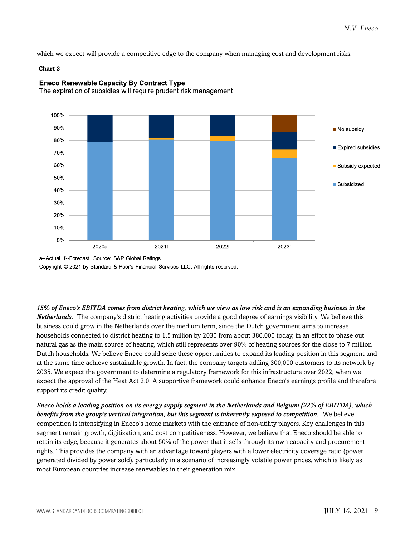which we expect will provide a competitive edge to the company when managing cost and development risks.

#### **Chart 3**



## **Eneco Renewable Capacity By Contract Type**

The expiration of subsidies will require prudent risk management

Copyright © 2021 by Standard & Poor's Financial Services LLC. All rights reserved.

*15% of Eneco's EBITDA comes from district heating, which we view as low risk and is an expanding business in the Netherlands.* The company's district heating activities provide a good degree of earnings visibility. We believe this business could grow in the Netherlands over the medium term, since the Dutch government aims to increase households connected to district heating to 1.5 million by 2030 from about 380,000 today, in an effort to phase out natural gas as the main source of heating, which still represents over 90% of heating sources for the close to 7 million Dutch households. We believe Eneco could seize these opportunities to expand its leading position in this segment and at the same time achieve sustainable growth. In fact, the company targets adding 300,000 customers to its network by 2035. We expect the government to determine a regulatory framework for this infrastructure over 2022, when we expect the approval of the Heat Act 2.0. A supportive framework could enhance Eneco's earnings profile and therefore support its credit quality.

*Eneco holds a leading position on its energy supply segment in the Netherlands and Belgium (22% of EBITDA), which benefits from the group's vertical integration, but this segment is inherently exposed to competition.* We believe competition is intensifying in Eneco's home markets with the entrance of non-utility players. Key challenges in this segment remain growth, digitization, and cost competitiveness. However, we believe that Eneco should be able to retain its edge, because it generates about 50% of the power that it sells through its own capacity and procurement rights. This provides the company with an advantage toward players with a lower electricity coverage ratio (power generated divided by power sold), particularly in a scenario of increasingly volatile power prices, which is likely as most European countries increase renewables in their generation mix.

a--Actual. f--Forecast. Source: S&P Global Ratings.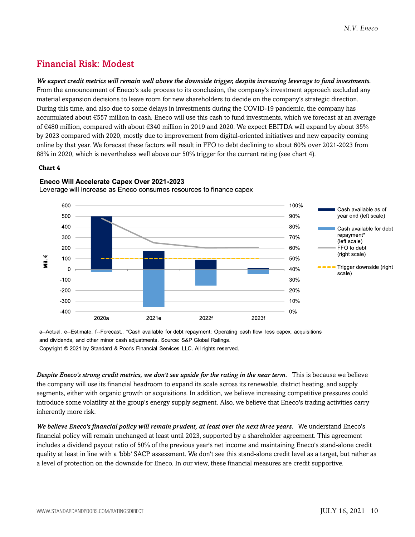## <span id="page-9-0"></span>Financial Risk: Modest

*We expect credit metrics will remain well above the downside trigger, despite increasing leverage to fund investments.* From the announcement of Eneco's sale process to its conclusion, the company's investment approach excluded any material expansion decisions to leave room for new shareholders to decide on the company's strategic direction. During this time, and also due to some delays in investments during the COVID-19 pandemic, the company has accumulated about €557 million in cash. Eneco will use this cash to fund investments, which we forecast at an average of €480 million, compared with about €340 million in 2019 and 2020. We expect EBITDA will expand by about 35% by 2023 compared with 2020, mostly due to improvement from digital-oriented initiatives and new capacity coming online by that year. We forecast these factors will result in FFO to debt declining to about 60% over 2021-2023 from 88% in 2020, which is nevertheless well above our 50% trigger for the current rating (see chart 4).

#### **Chart 4**



Eneco Will Accelerate Capex Over 2021-2023

Leverage will increase as Eneco consumes resources to finance capex

a--Actual. e--Estimate. f--Forecast.. \*Cash available for debt repayment: Operating cash flow less capex, acquisitions and dividends, and other minor cash adjustments. Source: S&P Global Ratings.

Copyright © 2021 by Standard & Poor's Financial Services LLC. All rights reserved.

*Despite Eneco's strong credit metrics, we don't see upside for the rating in the near term.* This is because we believe the company will use its financial headroom to expand its scale across its renewable, district heating, and supply segments, either with organic growth or acquisitions. In addition, we believe increasing competitive pressures could introduce some volatility at the group's energy supply segment. Also, we believe that Eneco's trading activities carry inherently more risk.

*We believe Eneco's financial policy will remain prudent, at least over the next three years.* We understand Eneco's financial policy will remain unchanged at least until 2023, supported by a shareholder agreement. This agreement includes a dividend payout ratio of 50% of the previous year's net income and maintaining Eneco's stand-alone credit quality at least in line with a 'bbb' SACP assessment. We don't see this stand-alone credit level as a target, but rather as a level of protection on the downside for Eneco. In our view, these financial measures are credit supportive.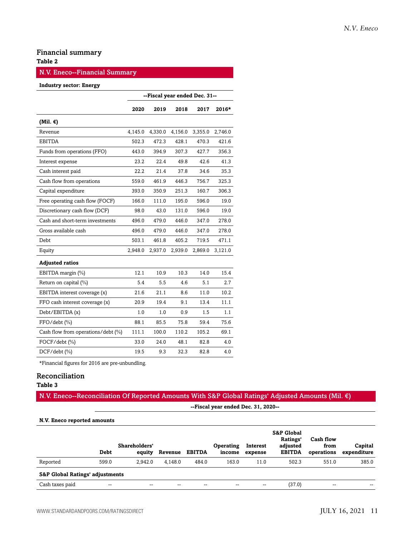## Financial summary

## **Table 2**

## N.V. Eneco--Financial Summary

#### **Industry sector: Energy**

|                                    | --Fiscal year ended Dec. 31-- |         |         |         |         |  |  |
|------------------------------------|-------------------------------|---------|---------|---------|---------|--|--|
|                                    | 2020                          | 2019    | 2018    | 2017    | $2016*$ |  |  |
| (Mil. $\epsilon$ )                 |                               |         |         |         |         |  |  |
| Revenue                            | 4,145.0                       | 4,330.0 | 4,156.0 | 3,355.0 | 2,746.0 |  |  |
| <b>EBITDA</b>                      | 502.3                         | 472.3   | 428.1   | 470.3   | 421.6   |  |  |
| Funds from operations (FFO)        | 443.0                         | 394.9   | 307.3   | 427.7   | 356.3   |  |  |
| Interest expense                   | 23.2                          | 22.4    | 49.8    | 42.6    | 41.3    |  |  |
| Cash interest paid                 | 22.2                          | 21.4    | 37.8    | 34.6    | 35.3    |  |  |
| Cash flow from operations          | 559.0                         | 461.9   | 446.3   | 756.7   | 325.3   |  |  |
| Capital expenditure                | 393.0                         | 350.9   | 251.3   | 160.7   | 306.3   |  |  |
| Free operating cash flow (FOCF)    | 166.0                         | 111.0   | 195.0   | 596.0   | 19.0    |  |  |
| Discretionary cash flow (DCF)      | 98.0                          | 43.0    | 131.0   | 596.0   | 19.0    |  |  |
| Cash and short-term investments    | 496.0                         | 479.0   | 446.0   | 347.0   | 278.0   |  |  |
| Gross available cash               | 496.0                         | 479.0   | 446.0   | 347.0   | 278.0   |  |  |
| Debt                               | 503.1                         | 461.8   | 405.2   | 719.5   | 471.1   |  |  |
| Equity                             | 2,948.0                       | 2,937.0 | 2,939.0 | 2,869.0 | 3,121.0 |  |  |
| <b>Adjusted ratios</b>             |                               |         |         |         |         |  |  |
| EBITDA margin (%)                  | 12.1                          | 10.9    | 10.3    | 14.0    | 15.4    |  |  |
| Return on capital (%)              | 5.4                           | 5.5     | 4.6     | 5.1     | 2.7     |  |  |
| EBITDA interest coverage (x)       | 21.6                          | 21.1    | 8.6     | 11.0    | 10.2    |  |  |
| FFO cash interest coverage (x)     | 20.9                          | 19.4    | 9.1     | 13.4    | 11.1    |  |  |
| Debt/EBITDA (x)                    | 1.0                           | 1.0     | 0.9     | 1.5     | 1.1     |  |  |
| FFO/debt (%)                       | 88.1                          | 85.5    | 75.8    | 59.4    | 75.6    |  |  |
| Cash flow from operations/debt (%) | 111.1                         | 100.0   | 110.2   | 105.2   | 69.1    |  |  |
| FOCF/debt (%)                      | 33.0                          | 24.0    | 48.1    | 82.8    | 4.0     |  |  |
| $DCF/debt$ (%)                     | 19.5                          | 9.3     | 32.3    | 82.8    | 4.0     |  |  |

\*Financial figures for 2016 are pre-unbundling.

## Reconciliation

## **Table 3**

## N.V. Eneco--Reconciliation Of Reported Amounts With S&P Global Ratings' Adjusted Amounts (Mil. €)

**--Fiscal year ended Dec. 31, 2020--**

#### **N.V. Eneco reported amounts**

|                                            | <b>Debt</b> | Shareholders'<br>equity | Revenue | <b>EBITDA</b> | Operating<br>income | Interest<br>expense | <b>S&amp;P Global</b><br>Ratings'<br>adjusted<br><b>EBITDA</b> | Cash flow<br>from<br>operations | Capital<br>expenditure |
|--------------------------------------------|-------------|-------------------------|---------|---------------|---------------------|---------------------|----------------------------------------------------------------|---------------------------------|------------------------|
| Reported                                   | 599.0       | 2.942.0                 | 4.148.0 | 484.0         | 163.0               | 11.0                | 502.3                                                          | 551.0                           | 385.0                  |
| <b>S&amp;P Global Ratings' adjustments</b> |             |                         |         |               |                     |                     |                                                                |                                 |                        |
| Cash taxes paid                            | --          | --                      | --      | --            | --                  | --                  | (37.0)                                                         | $\overline{\phantom{a}}$        | $- -$                  |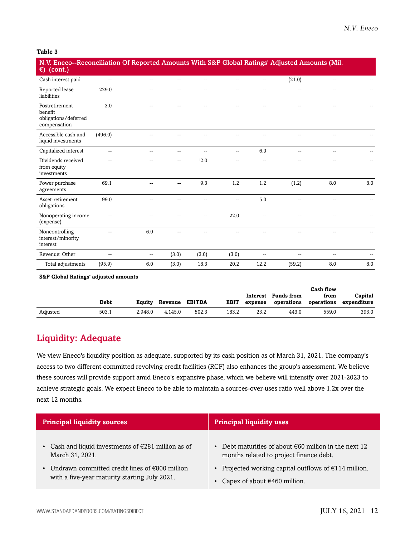#### **Table 3**

| N.V. Eneco--Reconciliation Of Reported Amounts With S&P Global Ratings' Adjusted Amounts (Mil.<br>$\epsilon$ ) (cont.) |                          |                          |                |                |                |                |                |                |     |
|------------------------------------------------------------------------------------------------------------------------|--------------------------|--------------------------|----------------|----------------|----------------|----------------|----------------|----------------|-----|
| Cash interest paid                                                                                                     | $\overline{a}$           | $\sim$ $\sim$            | $\overline{a}$ | $\overline{a}$ | $\overline{a}$ | --             | (21.0)         | $\overline{a}$ |     |
| Reported lease<br>liabilities                                                                                          | 229.0                    |                          |                |                | $\overline{a}$ | --             |                | --             |     |
| Postretirement<br>benefit<br>obligations/deferred<br>compensation                                                      | 3.0                      |                          |                |                |                |                |                |                |     |
| Accessible cash and<br>liquid investments                                                                              | (496.0)                  |                          |                |                |                |                |                |                |     |
| Capitalized interest                                                                                                   | $\overline{\phantom{a}}$ | $\overline{\phantom{a}}$ | --             | $\overline{a}$ | $\overline{a}$ | 6.0            | $\overline{a}$ | $\overline{a}$ |     |
| Dividends received<br>from equity<br>investments                                                                       | --                       |                          | $\overline{a}$ | 12.0           | --             | --             |                | --             |     |
| Power purchase<br>agreements                                                                                           | 69.1                     | $\sim$                   | --             | 9.3            | 1.2            | 1.2            | (1.2)          | 8.0            | 8.0 |
| Asset-retirement<br>obligations                                                                                        | 99.0                     |                          |                |                | --             | 5.0            |                | --             |     |
| Nonoperating income<br>(expense)                                                                                       | --                       |                          |                | --             | 22.0           | --             | $=$            | $-$            |     |
| Noncontrolling<br>interest/minority<br>interest                                                                        | --                       | 6.0                      | --             | --             | $\overline{a}$ | --             | $=$            | $\overline{a}$ |     |
| Revenue: Other                                                                                                         | $\overline{a}$           | $\mathbf{u}$             | (3.0)          | (3.0)          | (3.0)          | $\overline{a}$ | $=$            | $-$            |     |
| Total adjustments                                                                                                      | (95.9)                   | 6.0                      | (3.0)          | 18.3           | 20.2           | 12.2           | (59.2)         | 8.0            | 8.0 |
| <b>S&amp;P Global Ratings' adjusted amounts</b>                                                                        |                          |                          |                |                |                |                |                |                |     |

|          |       |         |                       |       |             |         |                                   | Cash flow |                                   |
|----------|-------|---------|-----------------------|-------|-------------|---------|-----------------------------------|-----------|-----------------------------------|
|          | Debt  | Eauity  | <b>Revenue EBITDA</b> |       | <b>EBIT</b> | expense | Interest Funds from<br>operations | from      | Capital<br>operations expenditure |
| Adjusted | 503.1 | 2.948.0 | 4.145.0               | 502.3 | 183.2       | 23.2    | 443.0                             | 559.0     | 393.0                             |

## <span id="page-11-0"></span>Liquidity: Adequate

We view Eneco's liquidity position as adequate, supported by its cash position as of March 31, 2021. The company's access to two different committed revolving credit facilities (RCF) also enhances the group's assessment. We believe these sources will provide support amid Eneco's expansive phase, which we believe will intensify over 2021-2023 to achieve strategic goals. We expect Eneco to be able to maintain a sources-over-uses ratio well above 1.2x over the next 12 months.

| <b>Principal liquidity sources</b>                            | <b>Principal liquidity uses</b>                                 |  |  |  |
|---------------------------------------------------------------|-----------------------------------------------------------------|--|--|--|
| • Cash and liquid investments of $\epsilon$ 281 million as of | • Debt maturities of about $\epsilon$ 60 million in the next 12 |  |  |  |
| March 31, 2021.                                               | months related to project finance debt.                         |  |  |  |
| • Undrawn committed credit lines of $€800$ million            | • Projected working capital outflows of $\epsilon$ 114 million. |  |  |  |
| with a five-year maturity starting July 2021.                 | Capex of about $€460$ million.                                  |  |  |  |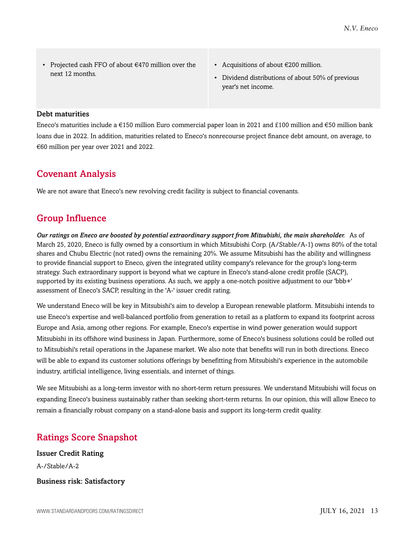- Projected cash FFO of about €470 million over the next 12 months.
- Acquisitions of about €200 million.
- Dividend distributions of about 50% of previous year's net income.

#### Debt maturities

Eneco's maturities include a €150 million Euro commercial paper loan in 2021 and £100 million and €50 million bank loans due in 2022. In addition, maturities related to Eneco's nonrecourse project finance debt amount, on average, to €60 million per year over 2021 and 2022.

## <span id="page-12-0"></span>Covenant Analysis

<span id="page-12-1"></span>We are not aware that Eneco's new revolving credit facility is subject to financial covenants.

## Group Influence

*Our ratings on Eneco are boosted by potential extraordinary support from Mitsubishi, the main shareholder.* As of March 25, 2020, Eneco is fully owned by a consortium in which Mitsubishi Corp. (A/Stable/A-1) owns 80% of the total shares and Chubu Electric (not rated) owns the remaining 20%. We assume Mitsubishi has the ability and willingness to provide financial support to Eneco, given the integrated utility company's relevance for the group's long-term strategy. Such extraordinary support is beyond what we capture in Eneco's stand-alone credit profile (SACP), supported by its existing business operations. As such, we apply a one-notch positive adjustment to our 'bbb+' assessment of Eneco's SACP, resulting in the 'A-' issuer credit rating.

We understand Eneco will be key in Mitsubishi's aim to develop a European renewable platform. Mitsubishi intends to use Eneco's expertise and well-balanced portfolio from generation to retail as a platform to expand its footprint across Europe and Asia, among other regions. For example, Eneco's expertise in wind power generation would support Mitsubishi in its offshore wind business in Japan. Furthermore, some of Eneco's business solutions could be rolled out to Mitsubishi's retail operations in the Japanese market. We also note that benefits will run in both directions. Eneco will be able to expand its customer solutions offerings by benefitting from Mitsubishi's experience in the automobile industry, artificial intelligence, living essentials, and internet of things.

We see Mitsubishi as a long-term investor with no short-term return pressures. We understand Mitsubishi will focus on expanding Eneco's business sustainably rather than seeking short-term returns. In our opinion, this will allow Eneco to remain a financially robust company on a stand-alone basis and support its long-term credit quality.

## <span id="page-12-2"></span>Ratings Score Snapshot

Issuer Credit Rating A-/Stable/A-2 Business risk: Satisfactory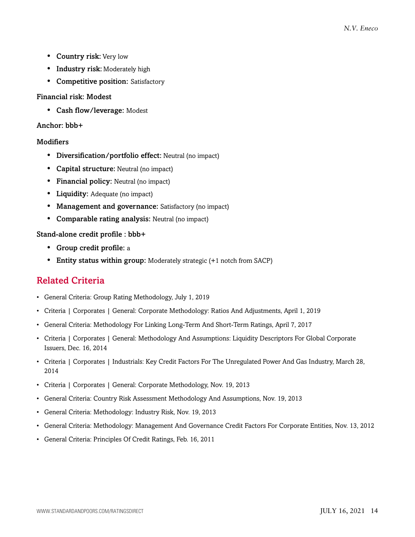- Country risk: Very low
- Industry risk: Moderately high
- Competitive position: Satisfactory

## Financial risk: Modest

• Cash flow/leverage: Modest

## Anchor: bbb+

## **Modifiers**

- Diversification/portfolio effect: Neutral (no impact)
- Capital structure: Neutral (no impact)
- Financial policy: Neutral (no impact)
- Liquidity: Adequate (no impact)
- Management and governance: Satisfactory (no impact)
- Comparable rating analysis: Neutral (no impact)

## Stand-alone credit profile : bbb+

- Group credit profile: a
- <span id="page-13-0"></span>• Entity status within group: Moderately strategic (+1 notch from SACP)

## Related Criteria

- General Criteria: Group Rating Methodology, July 1, 2019
- Criteria | Corporates | General: Corporate Methodology: Ratios And Adjustments, April 1, 2019
- General Criteria: Methodology For Linking Long-Term And Short-Term Ratings, April 7, 2017
- Criteria | Corporates | General: Methodology And Assumptions: Liquidity Descriptors For Global Corporate Issuers, Dec. 16, 2014
- Criteria | Corporates | Industrials: Key Credit Factors For The Unregulated Power And Gas Industry, March 28, 2014
- Criteria | Corporates | General: Corporate Methodology, Nov. 19, 2013
- General Criteria: Country Risk Assessment Methodology And Assumptions, Nov. 19, 2013
- General Criteria: Methodology: Industry Risk, Nov. 19, 2013
- General Criteria: Methodology: Management And Governance Credit Factors For Corporate Entities, Nov. 13, 2012
- General Criteria: Principles Of Credit Ratings, Feb. 16, 2011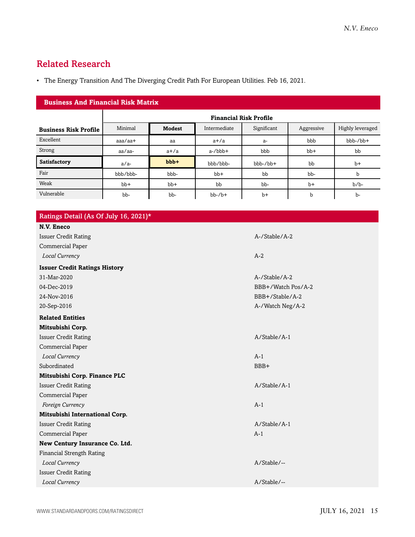## <span id="page-14-0"></span>Related Research

• The Energy Transition And The Diverging Credit Path For European Utilities. Feb 16, 2021.

| <b>Business And Financial Risk Matrix</b> |                   |                               |              |             |            |                  |  |  |
|-------------------------------------------|-------------------|-------------------------------|--------------|-------------|------------|------------------|--|--|
|                                           |                   | <b>Financial Risk Profile</b> |              |             |            |                  |  |  |
| <b>Business Risk Profile</b>              | Minimal           | <b>Modest</b>                 | Intermediate | Significant | Aggressive | Highly leveraged |  |  |
| Excellent                                 | $a$ aa $/a$ a $+$ | aa                            | $a+/a$       | $a-$        | bbb        | bbb-/bb+         |  |  |
| Strong                                    | aa/aa-            | $a+/a$                        | $a$ -/ $bbb$ | bbb         | $bb+$      | bb               |  |  |
| <b>Satisfactory</b>                       | $a/a-$            | $bbb +$                       | bbb/bbb-     | $bbb-/bb+$  | bb         | $b+$             |  |  |
| Fair                                      | bbb/bbb-          | bbb-                          | $bb+$        | bb          | bb-        | $\mathbf b$      |  |  |
| Weak                                      | $bb+$             | $bb+$                         | bb           | bb-         | $b+$       | $b/b$ -          |  |  |
| Vulnerable                                | bb-               | bb-                           | $bb-7b+$     | $b+$        | b          | $b-$             |  |  |

| Ratings Detail (As Of July 16, 2021)* |                    |
|---------------------------------------|--------------------|
| N.V. Eneco                            |                    |
| <b>Issuer Credit Rating</b>           | A-/Stable/A-2      |
| Commercial Paper                      |                    |
| Local Currency                        | $A-2$              |
| <b>Issuer Credit Ratings History</b>  |                    |
| 31-Mar-2020                           | A-/Stable/A-2      |
| 04-Dec-2019                           | BBB+/Watch Pos/A-2 |
| 24-Nov-2016                           | BBB+/Stable/A-2    |
| 20-Sep-2016                           | A-/Watch Neg/A-2   |
| <b>Related Entities</b>               |                    |
| Mitsubishi Corp.                      |                    |
| <b>Issuer Credit Rating</b>           | A/Stable/A-1       |
| Commercial Paper                      |                    |
| Local Currency                        | $A-1$              |
| Subordinated                          | BBB+               |
| Mitsubishi Corp. Finance PLC          |                    |
| <b>Issuer Credit Rating</b>           | A/Stable/A-1       |
| Commercial Paper                      |                    |
| Foreign Currency                      | $A-1$              |
| Mitsubishi International Corp.        |                    |
| <b>Issuer Credit Rating</b>           | A/Stable/A-1       |
| Commercial Paper                      | $A-1$              |
| New Century Insurance Co. Ltd.        |                    |
| <b>Financial Strength Rating</b>      |                    |
| Local Currency                        | A/Stable/--        |
| <b>Issuer Credit Rating</b>           |                    |
| Local Currency                        | A/Stable/--        |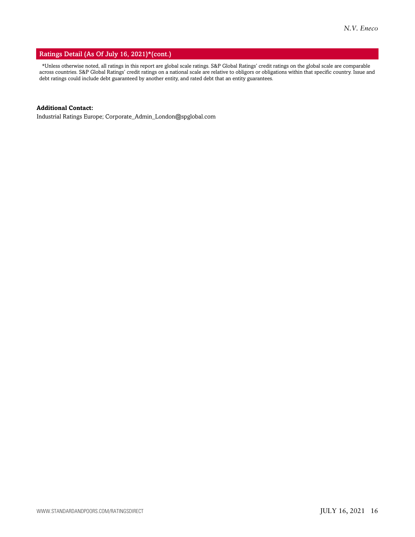#### Ratings Detail (As Of July 16, 2021)\*(cont.)

\*Unless otherwise noted, all ratings in this report are global scale ratings. S&P Global Ratings' credit ratings on the global scale are comparable across countries. S&P Global Ratings' credit ratings on a national scale are relative to obligors or obligations within that specific country. Issue and debt ratings could include debt guaranteed by another entity, and rated debt that an entity guarantees.

## **Additional Contact:**

Industrial Ratings Europe; Corporate\_Admin\_London@spglobal.com